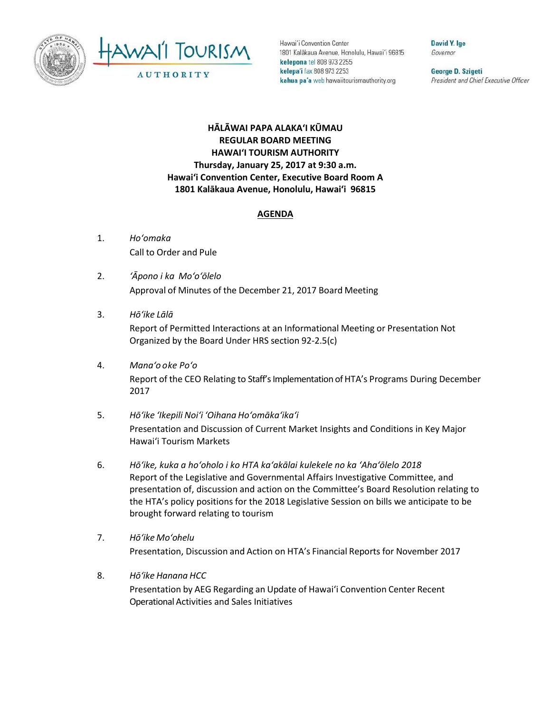



Hawai'i Convention Center 1801 Kalakaua Avenue, Honolulu, Hawai'i 96815 kelepona tel 808 973 2255 kelepa'i fax 808 973 2253 kahua pa'a web hawaiitourismauthority.org

David Y. Ige Governor

George D. Szigeti President and Chief Executive Officer

## **HĀLĀWAI PAPA ALAKAʻI KŪMAU REGULAR BOARD MEETING HAWAI'I TOURISM AUTHORITY Thursday, January 25, 2017 at 9:30 a.m. Hawai'i Convention Center, Executive Board Room A 1801 Kalākaua Avenue, Honolulu, Hawai'i 96815**

## **AGENDA**

- 1. *Ho'omaka* Call to Order and Pule
- 2. *ʻĀpono i ka Mo'o'ōlelo* Approval of Minutes of the December 21, 2017 Board Meeting
- 3. *Hō'ike Lālā*

Report of Permitted Interactions at an Informational Meeting or Presentation Not Organized by the Board Under HRS section 92-2.5(c)

- 4. *Mana'o o ke Poʻo* Report of the CEO Relating to Staff's Implementation of HTA's Programs During December 2017
- 5. *Hō'ike 'Ikepili Noi'i 'Oihana Ho'omāka'ika'i* Presentation and Discussion of Current Market Insights and Conditions in Key Major Hawai'i Tourism Markets
- 6. *Hō'ike, kuka a ho'oholo i ko HTA ka'akālai kulekele no ka 'Aha'ōlelo 2018* Report of the Legislative and Governmental Affairs Investigative Committee, and presentation of, discussion and action on the Committee's Board Resolution relating to the HTA's policy positions for the 2018 Legislative Session on bills we anticipate to be brought forward relating to tourism
- 7. *Hō'ike Mo'ohelu* Presentation, Discussion and Action on HTA's Financial Reports for November 2017
- 8. *Hōʻike Hanana HCC* Presentation by AEG Regarding an Update of Hawai'i Convention Center Recent Operational Activities and Sales Initiatives